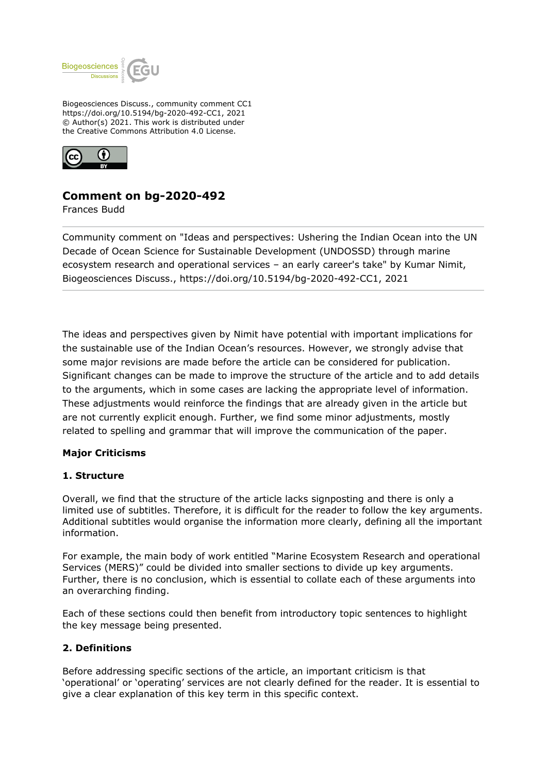

Biogeosciences Discuss., community comment CC1 https://doi.org/10.5194/bg-2020-492-CC1, 2021 © Author(s) 2021. This work is distributed under the Creative Commons Attribution 4.0 License.



# **Comment on bg-2020-492**

Frances Budd

Community comment on "Ideas and perspectives: Ushering the Indian Ocean into the UN Decade of Ocean Science for Sustainable Development (UNDOSSD) through marine ecosystem research and operational services – an early career's take" by Kumar Nimit, Biogeosciences Discuss., https://doi.org/10.5194/bg-2020-492-CC1, 2021

The ideas and perspectives given by Nimit have potential with important implications for the sustainable use of the Indian Ocean's resources. However, we strongly advise that some major revisions are made before the article can be considered for publication. Significant changes can be made to improve the structure of the article and to add details to the arguments, which in some cases are lacking the appropriate level of information. These adjustments would reinforce the findings that are already given in the article but are not currently explicit enough. Further, we find some minor adjustments, mostly related to spelling and grammar that will improve the communication of the paper.

#### **Major Criticisms**

#### **1. Structure**

Overall, we find that the structure of the article lacks signposting and there is only a limited use of subtitles. Therefore, it is difficult for the reader to follow the key arguments. Additional subtitles would organise the information more clearly, defining all the important information.

For example, the main body of work entitled "Marine Ecosystem Research and operational Services (MERS)" could be divided into smaller sections to divide up key arguments. Further, there is no conclusion, which is essential to collate each of these arguments into an overarching finding.

Each of these sections could then benefit from introductory topic sentences to highlight the key message being presented.

### **2. Definitions**

Before addressing specific sections of the article, an important criticism is that 'operational' or 'operating' services are not clearly defined for the reader. It is essential to give a clear explanation of this key term in this specific context.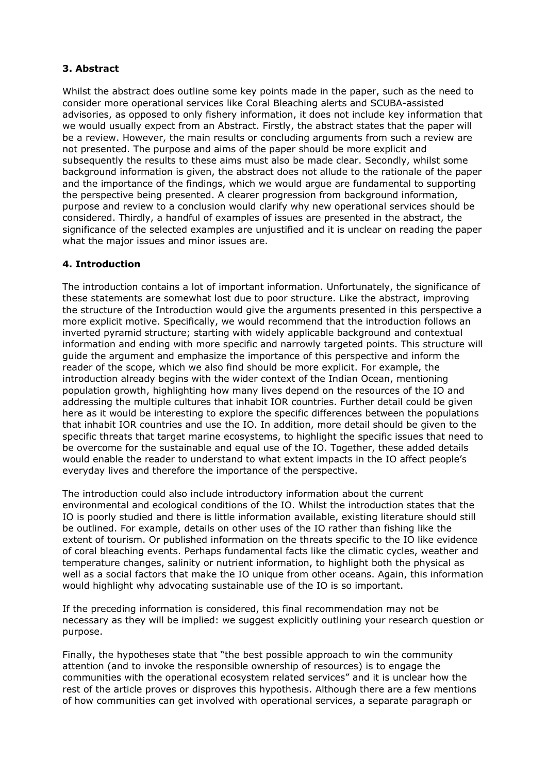# **3. Abstract**

Whilst the abstract does outline some key points made in the paper, such as the need to consider more operational services like Coral Bleaching alerts and SCUBA-assisted advisories, as opposed to only fishery information, it does not include key information that we would usually expect from an Abstract. Firstly, the abstract states that the paper will be a review. However, the main results or concluding arguments from such a review are not presented. The purpose and aims of the paper should be more explicit and subsequently the results to these aims must also be made clear. Secondly, whilst some background information is given, the abstract does not allude to the rationale of the paper and the importance of the findings, which we would argue are fundamental to supporting the perspective being presented. A clearer progression from background information, purpose and review to a conclusion would clarify why new operational services should be considered. Thirdly, a handful of examples of issues are presented in the abstract, the significance of the selected examples are unjustified and it is unclear on reading the paper what the major issues and minor issues are.

# **4. Introduction**

The introduction contains a lot of important information. Unfortunately, the significance of these statements are somewhat lost due to poor structure. Like the abstract, improving the structure of the Introduction would give the arguments presented in this perspective a more explicit motive. Specifically, we would recommend that the introduction follows an inverted pyramid structure; starting with widely applicable background and contextual information and ending with more specific and narrowly targeted points. This structure will guide the argument and emphasize the importance of this perspective and inform the reader of the scope, which we also find should be more explicit. For example, the introduction already begins with the wider context of the Indian Ocean, mentioning population growth, highlighting how many lives depend on the resources of the IO and addressing the multiple cultures that inhabit IOR countries. Further detail could be given here as it would be interesting to explore the specific differences between the populations that inhabit IOR countries and use the IO. In addition, more detail should be given to the specific threats that target marine ecosystems, to highlight the specific issues that need to be overcome for the sustainable and equal use of the IO. Together, these added details would enable the reader to understand to what extent impacts in the IO affect people's everyday lives and therefore the importance of the perspective.

The introduction could also include introductory information about the current environmental and ecological conditions of the IO. Whilst the introduction states that the IO is poorly studied and there is little information available, existing literature should still be outlined. For example, details on other uses of the IO rather than fishing like the extent of tourism. Or published information on the threats specific to the IO like evidence of coral bleaching events. Perhaps fundamental facts like the climatic cycles, weather and temperature changes, salinity or nutrient information, to highlight both the physical as well as a social factors that make the IO unique from other oceans. Again, this information would highlight why advocating sustainable use of the IO is so important.

If the preceding information is considered, this final recommendation may not be necessary as they will be implied: we suggest explicitly outlining your research question or purpose.

Finally, the hypotheses state that "the best possible approach to win the community attention (and to invoke the responsible ownership of resources) is to engage the communities with the operational ecosystem related services" and it is unclear how the rest of the article proves or disproves this hypothesis. Although there are a few mentions of how communities can get involved with operational services, a separate paragraph or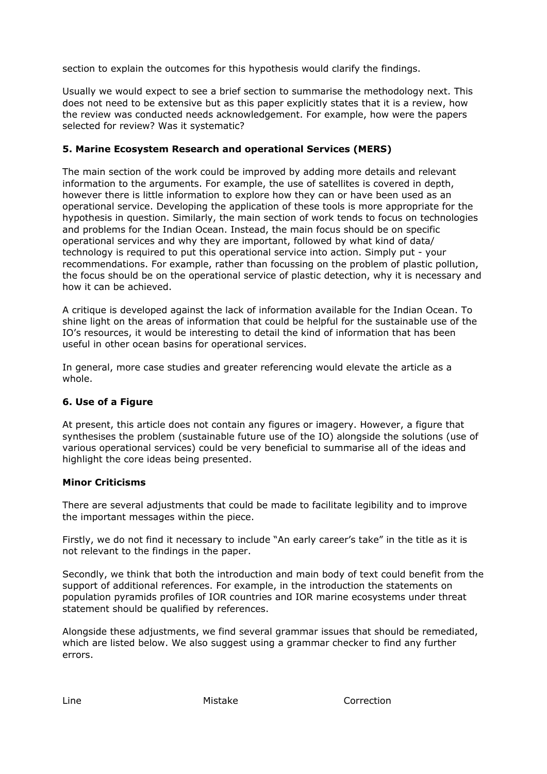section to explain the outcomes for this hypothesis would clarify the findings.

Usually we would expect to see a brief section to summarise the methodology next. This does not need to be extensive but as this paper explicitly states that it is a review, how the review was conducted needs acknowledgement. For example, how were the papers selected for review? Was it systematic?

# **5. Marine Ecosystem Research and operational Services (MERS)**

The main section of the work could be improved by adding more details and relevant information to the arguments. For example, the use of satellites is covered in depth, however there is little information to explore how they can or have been used as an operational service. Developing the application of these tools is more appropriate for the hypothesis in question. Similarly, the main section of work tends to focus on technologies and problems for the Indian Ocean. Instead, the main focus should be on specific operational services and why they are important, followed by what kind of data/ technology is required to put this operational service into action. Simply put - your recommendations. For example, rather than focussing on the problem of plastic pollution, the focus should be on the operational service of plastic detection, why it is necessary and how it can be achieved.

A critique is developed against the lack of information available for the Indian Ocean. To shine light on the areas of information that could be helpful for the sustainable use of the IO's resources, it would be interesting to detail the kind of information that has been useful in other ocean basins for operational services.

In general, more case studies and greater referencing would elevate the article as a whole.

### **6. Use of a Figure**

At present, this article does not contain any figures or imagery. However, a figure that synthesises the problem (sustainable future use of the IO) alongside the solutions (use of various operational services) could be very beneficial to summarise all of the ideas and highlight the core ideas being presented.

### **Minor Criticisms**

There are several adjustments that could be made to facilitate legibility and to improve the important messages within the piece.

Firstly, we do not find it necessary to include "An early career's take" in the title as it is not relevant to the findings in the paper.

Secondly, we think that both the introduction and main body of text could benefit from the support of additional references. For example, in the introduction the statements on population pyramids profiles of IOR countries and IOR marine ecosystems under threat statement should be qualified by references.

Alongside these adjustments, we find several grammar issues that should be remediated, which are listed below. We also suggest using a grammar checker to find any further errors.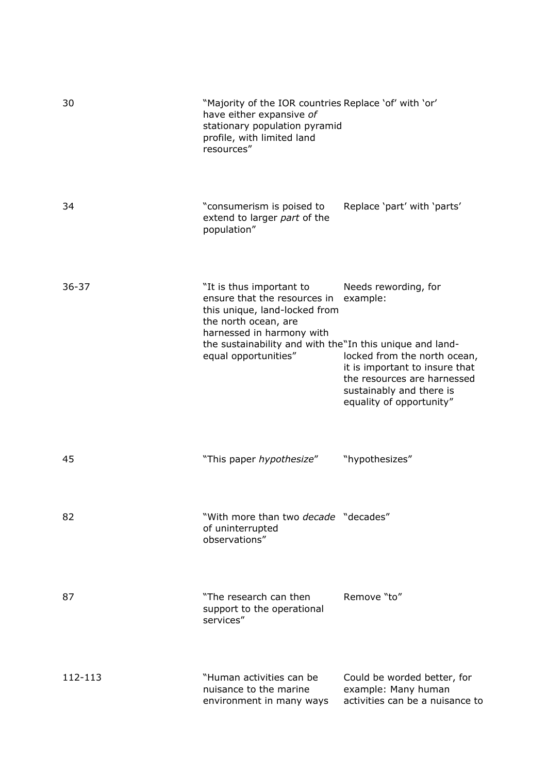| 30        | "Majority of the IOR countries Replace 'of' with 'or'<br>have either expansive of<br>stationary population pyramid<br>profile, with limited land<br>resources"                                                                     |                                                                                                                                                                                           |
|-----------|------------------------------------------------------------------------------------------------------------------------------------------------------------------------------------------------------------------------------------|-------------------------------------------------------------------------------------------------------------------------------------------------------------------------------------------|
| 34        | "consumerism is poised to<br>extend to larger part of the<br>population"                                                                                                                                                           | Replace 'part' with 'parts'                                                                                                                                                               |
| $36 - 37$ | "It is thus important to<br>ensure that the resources in<br>this unique, land-locked from<br>the north ocean, are<br>harnessed in harmony with<br>the sustainability and with the"In this unique and land-<br>equal opportunities" | Needs rewording, for<br>example:<br>locked from the north ocean,<br>it is important to insure that<br>the resources are harnessed<br>sustainably and there is<br>equality of opportunity" |
| 45        | "This paper hypothesize"                                                                                                                                                                                                           | "hypothesizes"                                                                                                                                                                            |
| 82        | "With more than two decade "decades"<br>of uninterrupted<br>observations"                                                                                                                                                          |                                                                                                                                                                                           |
| 87        | "The research can then<br>support to the operational<br>services"                                                                                                                                                                  | Remove "to"                                                                                                                                                                               |
| 112-113   | "Human activities can be<br>nuisance to the marine<br>environment in many ways                                                                                                                                                     | Could be worded better, for<br>example: Many human<br>activities can be a nuisance to                                                                                                     |